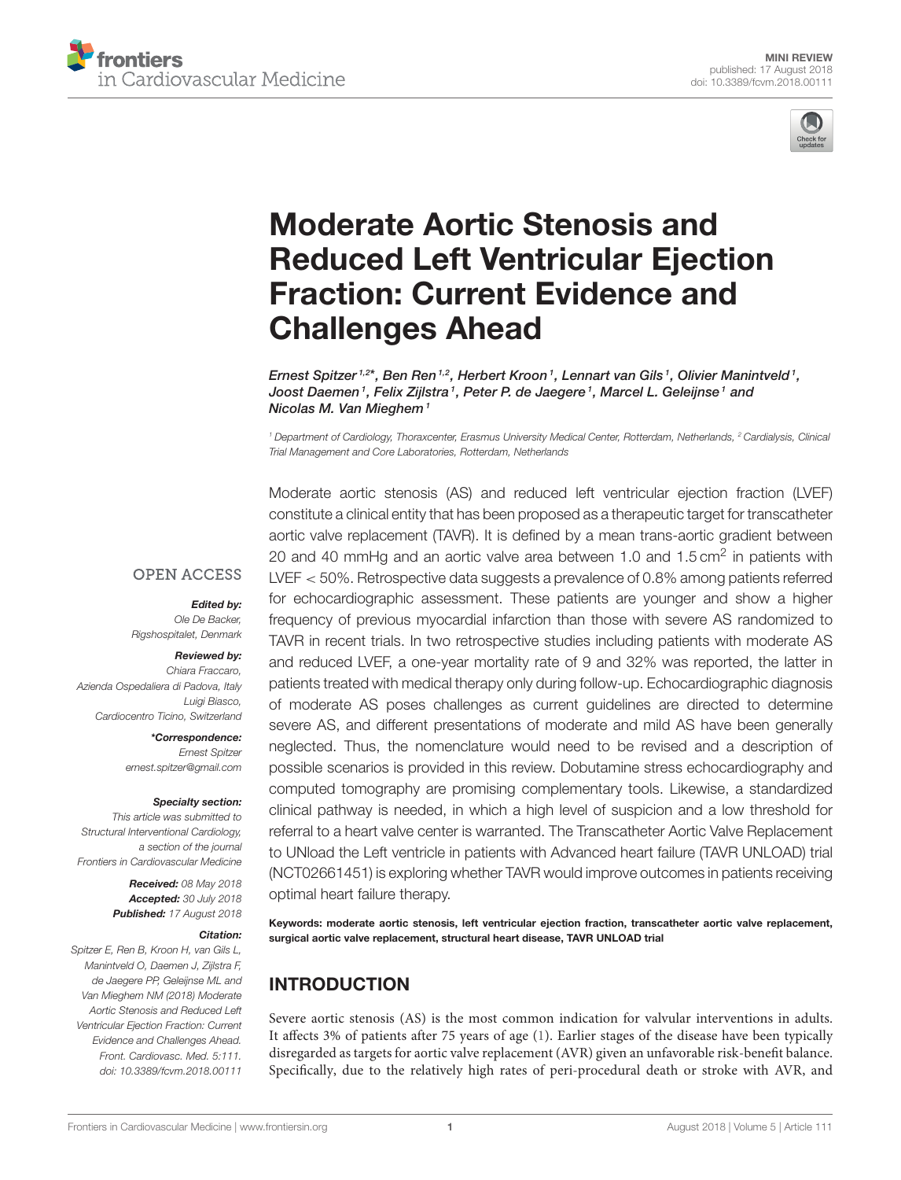



# Moderate Aortic Stenosis and [Reduced Left Ventricular Ejection](https://www.frontiersin.org/articles/10.3389/fcvm.2018.00111/full) Fraction: Current Evidence and Challenges Ahead

[Ernest Spitzer](http://loop.frontiersin.org/people/401363/overview) 1.2\*, Ben Ren <sup>1,2</sup>, Herbert Kroon <sup>1</sup>, Lennart van Gils <sup>1</sup>, Olivier Manintveld <sup>1</sup>, Joost Daemen1, Felix Zijlstra1, Peter P. de Jaegere1, Marcel L. Geleijnse1 and Nicolas M. Van Mieghem<sup>1</sup>

*<sup>1</sup> Department of Cardiology, Thoraxcenter, Erasmus University Medical Center, Rotterdam, Netherlands, <sup>2</sup> Cardialysis, Clinical Trial Management and Core Laboratories, Rotterdam, Netherlands*

**OPEN ACCESS** 

Edited by: *Ole De Backer, Rigshospitalet, Denmark*

#### Reviewed by:

*Chiara Fraccaro, Azienda Ospedaliera di Padova, Italy Luigi Biasco, Cardiocentro Ticino, Switzerland*

> \*Correspondence: *Ernest Spitzer [ernest.spitzer@gmail.com](mailto:ernest.spitzer@gmail.com)*

#### Specialty section:

*This article was submitted to Structural Interventional Cardiology, a section of the journal Frontiers in Cardiovascular Medicine*

> Received: *08 May 2018* Accepted: *30 July 2018* Published: *17 August 2018*

#### Citation:

*Spitzer E, Ren B, Kroon H, van Gils L, Manintveld O, Daemen J, Zijlstra F, de Jaegere PP, Geleijnse ML and Van Mieghem NM (2018) Moderate Aortic Stenosis and Reduced Left Ventricular Ejection Fraction: Current Evidence and Challenges Ahead. Front. Cardiovasc. Med. 5:111. doi: [10.3389/fcvm.2018.00111](https://doi.org/10.3389/fcvm.2018.00111)* Moderate aortic stenosis (AS) and reduced left ventricular ejection fraction (LVEF) constitute a clinical entity that has been proposed as a therapeutic target for transcatheter aortic valve replacement (TAVR). It is defined by a mean trans-aortic gradient between 20 and 40 mmHg and an aortic valve area between 1.0 and 1.5 cm<sup>2</sup> in patients with LVEF < 50%. Retrospective data suggests a prevalence of 0.8% among patients referred for echocardiographic assessment. These patients are younger and show a higher frequency of previous myocardial infarction than those with severe AS randomized to TAVR in recent trials. In two retrospective studies including patients with moderate AS and reduced LVEF, a one-year mortality rate of 9 and 32% was reported, the latter in patients treated with medical therapy only during follow-up. Echocardiographic diagnosis of moderate AS poses challenges as current guidelines are directed to determine severe AS, and different presentations of moderate and mild AS have been generally neglected. Thus, the nomenclature would need to be revised and a description of possible scenarios is provided in this review. Dobutamine stress echocardiography and computed tomography are promising complementary tools. Likewise, a standardized clinical pathway is needed, in which a high level of suspicion and a low threshold for referral to a heart valve center is warranted. The Transcatheter Aortic Valve Replacement to UNload the Left ventricle in patients with Advanced heart failure (TAVR UNLOAD) trial (NCT02661451) is exploring whether TAVR would improve outcomes in patients receiving optimal heart failure therapy.

Keywords: moderate aortic stenosis, left ventricular ejection fraction, transcatheter aortic valve replacement, surgical aortic valve replacement, structural heart disease, TAVR UNLOAD trial

# INTRODUCTION

Severe aortic stenosis (AS) is the most common indication for valvular interventions in adults. It affects 3% of patients after 75 years of age [\(1\)](#page-5-0). Earlier stages of the disease have been typically disregarded as targets for aortic valve replacement (AVR) given an unfavorable risk-benefit balance. Specifically, due to the relatively high rates of peri-procedural death or stroke with AVR, and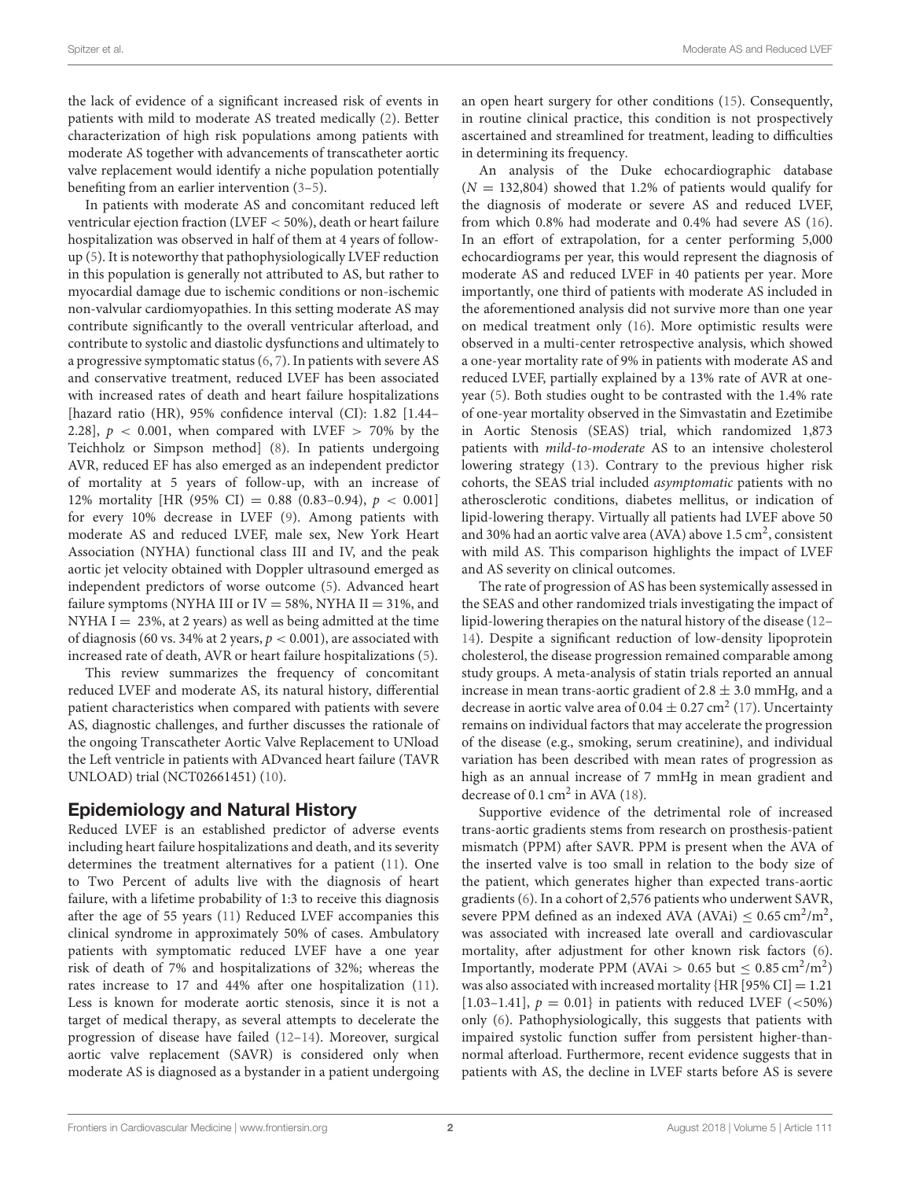the lack of evidence of a significant increased risk of events in patients with mild to moderate AS treated medically [\(2\)](#page-5-1). Better characterization of high risk populations among patients with moderate AS together with advancements of transcatheter aortic valve replacement would identify a niche population potentially benefiting from an earlier intervention [\(3](#page-5-2)[–5\)](#page-5-3).

In patients with moderate AS and concomitant reduced left ventricular ejection fraction (LVEF < 50%), death or heart failure hospitalization was observed in half of them at 4 years of followup [\(5\)](#page-5-3). It is noteworthy that pathophysiologically LVEF reduction in this population is generally not attributed to AS, but rather to myocardial damage due to ischemic conditions or non-ischemic non-valvular cardiomyopathies. In this setting moderate AS may contribute significantly to the overall ventricular afterload, and contribute to systolic and diastolic dysfunctions and ultimately to a progressive symptomatic status [\(6,](#page-5-4) [7\)](#page-5-5). In patients with severe AS and conservative treatment, reduced LVEF has been associated with increased rates of death and heart failure hospitalizations [hazard ratio (HR), 95% confidence interval (CI): 1.82 [1.44– 2.28],  $p < 0.001$ , when compared with LVEF  $> 70\%$  by the Teichholz or Simpson method] [\(8\)](#page-5-6). In patients undergoing AVR, reduced EF has also emerged as an independent predictor of mortality at 5 years of follow-up, with an increase of 12% mortality [HR (95% CI) = 0.88 (0.83-0.94),  $p < 0.001$ ] for every 10% decrease in LVEF [\(9\)](#page-5-7). Among patients with moderate AS and reduced LVEF, male sex, New York Heart Association (NYHA) functional class III and IV, and the peak aortic jet velocity obtained with Doppler ultrasound emerged as independent predictors of worse outcome [\(5\)](#page-5-3). Advanced heart failure symptoms (NYHA III or IV = 58%, NYHA II = 31%, and NYHA I  $= 23\%$ , at 2 years) as well as being admitted at the time of diagnosis (60 vs. 34% at 2 years,  $p < 0.001$ ), are associated with increased rate of death, AVR or heart failure hospitalizations [\(5\)](#page-5-3).

This review summarizes the frequency of concomitant reduced LVEF and moderate AS, its natural history, differential patient characteristics when compared with patients with severe AS, diagnostic challenges, and further discusses the rationale of the ongoing Transcatheter Aortic Valve Replacement to UNload the Left ventricle in patients with ADvanced heart failure (TAVR UNLOAD) trial (NCT02661451) [\(10\)](#page-5-8).

#### Epidemiology and Natural History

Reduced LVEF is an established predictor of adverse events including heart failure hospitalizations and death, and its severity determines the treatment alternatives for a patient [\(11\)](#page-5-9). One to Two Percent of adults live with the diagnosis of heart failure, with a lifetime probability of 1:3 to receive this diagnosis after the age of 55 years [\(11\)](#page-5-9) Reduced LVEF accompanies this clinical syndrome in approximately 50% of cases. Ambulatory patients with symptomatic reduced LVEF have a one year risk of death of 7% and hospitalizations of 32%; whereas the rates increase to 17 and 44% after one hospitalization [\(11\)](#page-5-9). Less is known for moderate aortic stenosis, since it is not a target of medical therapy, as several attempts to decelerate the progression of disease have failed [\(12](#page-5-10)[–14\)](#page-5-11). Moreover, surgical aortic valve replacement (SAVR) is considered only when moderate AS is diagnosed as a bystander in a patient undergoing an open heart surgery for other conditions [\(15\)](#page-6-0). Consequently, in routine clinical practice, this condition is not prospectively ascertained and streamlined for treatment, leading to difficulties in determining its frequency.

An analysis of the Duke echocardiographic database  $(N = 132,804)$  showed that 1.2% of patients would qualify for the diagnosis of moderate or severe AS and reduced LVEF, from which 0.8% had moderate and 0.4% had severe AS [\(16\)](#page-6-1). In an effort of extrapolation, for a center performing 5,000 echocardiograms per year, this would represent the diagnosis of moderate AS and reduced LVEF in 40 patients per year. More importantly, one third of patients with moderate AS included in the aforementioned analysis did not survive more than one year on medical treatment only [\(16\)](#page-6-1). More optimistic results were observed in a multi-center retrospective analysis, which showed a one-year mortality rate of 9% in patients with moderate AS and reduced LVEF, partially explained by a 13% rate of AVR at oneyear [\(5\)](#page-5-3). Both studies ought to be contrasted with the 1.4% rate of one-year mortality observed in the Simvastatin and Ezetimibe in Aortic Stenosis (SEAS) trial, which randomized 1,873 patients with mild-to-moderate AS to an intensive cholesterol lowering strategy [\(13\)](#page-5-12). Contrary to the previous higher risk cohorts, the SEAS trial included asymptomatic patients with no atherosclerotic conditions, diabetes mellitus, or indication of lipid-lowering therapy. Virtually all patients had LVEF above 50 and 30% had an aortic valve area (AVA) above 1.5 cm<sup>2</sup>, consistent with mild AS. This comparison highlights the impact of LVEF and AS severity on clinical outcomes.

The rate of progression of AS has been systemically assessed in the SEAS and other randomized trials investigating the impact of lipid-lowering therapies on the natural history of the disease [\(12–](#page-5-10) [14\)](#page-5-11). Despite a significant reduction of low-density lipoprotein cholesterol, the disease progression remained comparable among study groups. A meta-analysis of statin trials reported an annual increase in mean trans-aortic gradient of  $2.8 \pm 3.0$  mmHg, and a decrease in aortic valve area of  $0.04 \pm 0.27$  cm<sup>2</sup> [\(17\)](#page-6-2). Uncertainty remains on individual factors that may accelerate the progression of the disease (e.g., smoking, serum creatinine), and individual variation has been described with mean rates of progression as high as an annual increase of 7 mmHg in mean gradient and decrease of  $0.1 \text{ cm}^2$  in AVA [\(18\)](#page-6-3).

Supportive evidence of the detrimental role of increased trans-aortic gradients stems from research on prosthesis-patient mismatch (PPM) after SAVR. PPM is present when the AVA of the inserted valve is too small in relation to the body size of the patient, which generates higher than expected trans-aortic gradients [\(6\)](#page-5-4). In a cohort of 2,576 patients who underwent SAVR, severe PPM defined as an indexed AVA (AVAi)  $\leq 0.65 \text{ cm}^2/\text{m}^2$ , was associated with increased late overall and cardiovascular mortality, after adjustment for other known risk factors [\(6\)](#page-5-4). Importantly, moderate PPM (AVAi > 0.65 but  $\leq 0.85 \text{ cm}^2/\text{m}^2$ ) was also associated with increased mortality  ${HR [95\% CI] = 1.21}$ [1.03-1.41],  $p = 0.01$ } in patients with reduced LVEF (<50%) only [\(6\)](#page-5-4). Pathophysiologically, this suggests that patients with impaired systolic function suffer from persistent higher-thannormal afterload. Furthermore, recent evidence suggests that in patients with AS, the decline in LVEF starts before AS is severe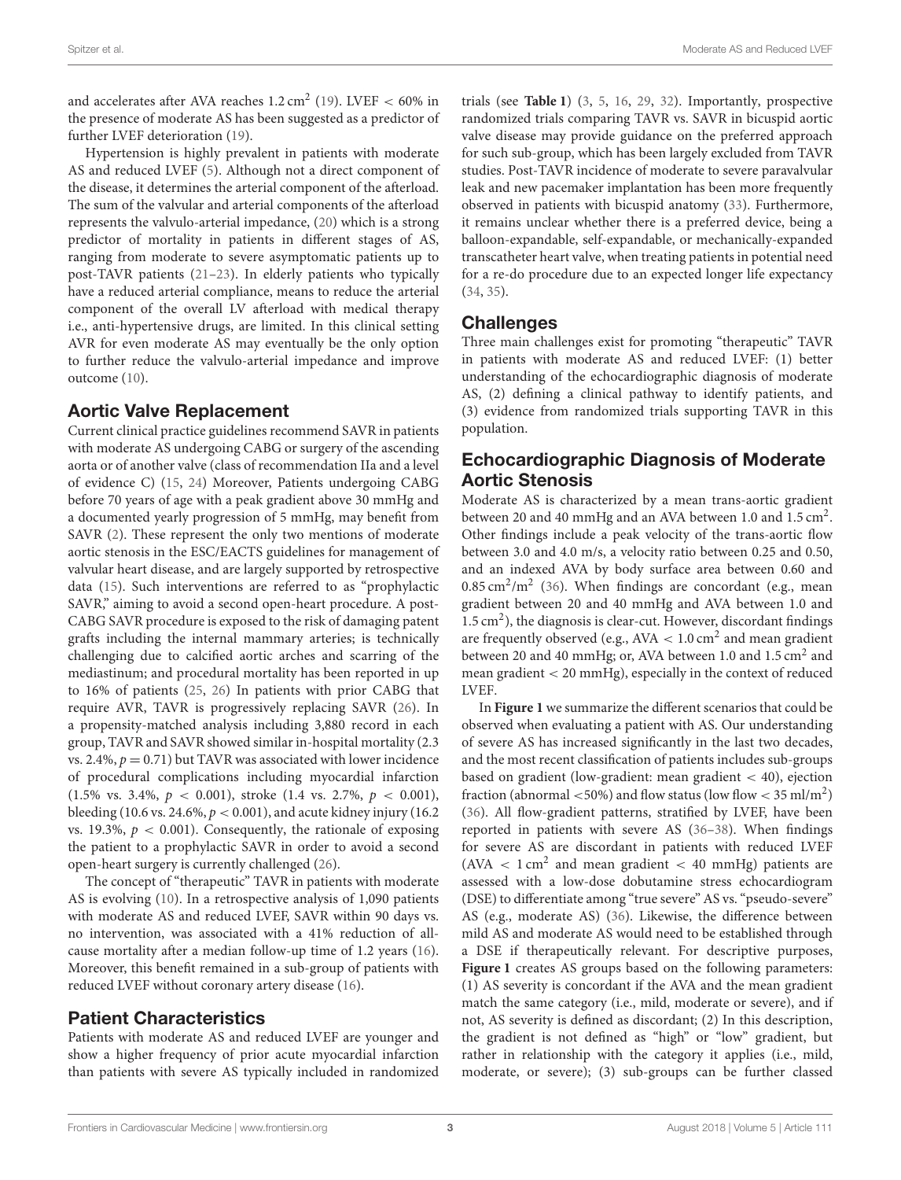and accelerates after AVA reaches  $1.2 \text{ cm}^2$  [\(19\)](#page-6-4). LVEF < 60% in the presence of moderate AS has been suggested as a predictor of further LVEF deterioration [\(19\)](#page-6-4).

Hypertension is highly prevalent in patients with moderate AS and reduced LVEF [\(5\)](#page-5-3). Although not a direct component of the disease, it determines the arterial component of the afterload. The sum of the valvular and arterial components of the afterload represents the valvulo-arterial impedance, [\(20\)](#page-6-5) which is a strong predictor of mortality in patients in different stages of AS, ranging from moderate to severe asymptomatic patients up to post-TAVR patients [\(21](#page-6-6)[–23\)](#page-6-7). In elderly patients who typically have a reduced arterial compliance, means to reduce the arterial component of the overall LV afterload with medical therapy i.e., anti-hypertensive drugs, are limited. In this clinical setting AVR for even moderate AS may eventually be the only option to further reduce the valvulo-arterial impedance and improve outcome [\(10\)](#page-5-8).

#### Aortic Valve Replacement

Current clinical practice guidelines recommend SAVR in patients with moderate AS undergoing CABG or surgery of the ascending aorta or of another valve (class of recommendation IIa and a level of evidence C) [\(15,](#page-6-0) [24\)](#page-6-8) Moreover, Patients undergoing CABG before 70 years of age with a peak gradient above 30 mmHg and a documented yearly progression of 5 mmHg, may benefit from SAVR [\(2\)](#page-5-1). These represent the only two mentions of moderate aortic stenosis in the ESC/EACTS guidelines for management of valvular heart disease, and are largely supported by retrospective data [\(15\)](#page-6-0). Such interventions are referred to as "prophylactic SAVR," aiming to avoid a second open-heart procedure. A post-CABG SAVR procedure is exposed to the risk of damaging patent grafts including the internal mammary arteries; is technically challenging due to calcified aortic arches and scarring of the mediastinum; and procedural mortality has been reported in up to 16% of patients [\(25,](#page-6-9) [26\)](#page-6-10) In patients with prior CABG that require AVR, TAVR is progressively replacing SAVR [\(26\)](#page-6-10). In a propensity-matched analysis including 3,880 record in each group, TAVR and SAVR showed similar in-hospital mortality (2.3 vs. 2.4%,  $p = 0.71$ ) but TAVR was associated with lower incidence of procedural complications including myocardial infarction (1.5% vs. 3.4%,  $p < 0.001$ ), stroke (1.4 vs. 2.7%,  $p < 0.001$ ), bleeding (10.6 vs. 24.6%,  $p < 0.001$ ), and acute kidney injury (16.2) vs. 19.3%,  $p < 0.001$ ). Consequently, the rationale of exposing the patient to a prophylactic SAVR in order to avoid a second open-heart surgery is currently challenged [\(26\)](#page-6-10).

The concept of "therapeutic" TAVR in patients with moderate AS is evolving [\(10\)](#page-5-8). In a retrospective analysis of 1,090 patients with moderate AS and reduced LVEF, SAVR within 90 days vs. no intervention, was associated with a 41% reduction of allcause mortality after a median follow-up time of 1.2 years [\(16\)](#page-6-1). Moreover, this benefit remained in a sub-group of patients with reduced LVEF without coronary artery disease [\(16\)](#page-6-1).

#### Patient Characteristics

Patients with moderate AS and reduced LVEF are younger and show a higher frequency of prior acute myocardial infarction than patients with severe AS typically included in randomized trials (see **[Table 1](#page-3-0)**) [\(3,](#page-5-2) [5,](#page-5-3) [16,](#page-6-1) [29,](#page-6-11) [32\)](#page-6-12). Importantly, prospective randomized trials comparing TAVR vs. SAVR in bicuspid aortic valve disease may provide guidance on the preferred approach for such sub-group, which has been largely excluded from TAVR studies. Post-TAVR incidence of moderate to severe paravalvular leak and new pacemaker implantation has been more frequently observed in patients with bicuspid anatomy [\(33\)](#page-6-13). Furthermore, it remains unclear whether there is a preferred device, being a balloon-expandable, self-expandable, or mechanically-expanded transcatheter heart valve, when treating patients in potential need for a re-do procedure due to an expected longer life expectancy [\(34,](#page-6-14) [35\)](#page-6-15).

#### **Challenges**

Three main challenges exist for promoting "therapeutic" TAVR in patients with moderate AS and reduced LVEF: (1) better understanding of the echocardiographic diagnosis of moderate AS, (2) defining a clinical pathway to identify patients, and (3) evidence from randomized trials supporting TAVR in this population.

#### Echocardiographic Diagnosis of Moderate Aortic Stenosis

Moderate AS is characterized by a mean trans-aortic gradient between 20 and 40 mmHg and an AVA between 1.0 and 1.5 cm<sup>2</sup>. Other findings include a peak velocity of the trans-aortic flow between 3.0 and 4.0 m/s, a velocity ratio between 0.25 and 0.50, and an indexed AVA by body surface area between 0.60 and  $0.85 \text{ cm}^2/\text{m}^2$  [\(36\)](#page-6-16). When findings are concordant (e.g., mean gradient between 20 and 40 mmHg and AVA between 1.0 and 1.5 cm<sup>2</sup>), the diagnosis is clear-cut. However, discordant findings are frequently observed (e.g.,  $AVA < 1.0$  cm<sup>2</sup> and mean gradient between 20 and 40 mmHg; or, AVA between 1.0 and 1.5 cm<sup>2</sup> and mean gradient < 20 mmHg), especially in the context of reduced LVEF.

In **[Figure 1](#page-4-0)** we summarize the different scenarios that could be observed when evaluating a patient with AS. Our understanding of severe AS has increased significantly in the last two decades, and the most recent classification of patients includes sub-groups based on gradient (low-gradient: mean gradient < 40), ejection fraction (abnormal  $\langle 50\% \rangle$  and flow status (low flow  $\langle 35 \text{ ml/m}^2 \rangle$ [\(36\)](#page-6-16). All flow-gradient patterns, stratified by LVEF, have been reported in patients with severe AS [\(36](#page-6-16)[–38\)](#page-6-17). When findings for severe AS are discordant in patients with reduced LVEF  $(AVA < 1 cm<sup>2</sup>$  and mean gradient < 40 mmHg) patients are assessed with a low-dose dobutamine stress echocardiogram (DSE) to differentiate among "true severe" AS vs. "pseudo-severe" AS (e.g., moderate AS) [\(36\)](#page-6-16). Likewise, the difference between mild AS and moderate AS would need to be established through a DSE if therapeutically relevant. For descriptive purposes, **[Figure 1](#page-4-0)** creates AS groups based on the following parameters: (1) AS severity is concordant if the AVA and the mean gradient match the same category (i.e., mild, moderate or severe), and if not, AS severity is defined as discordant; (2) In this description, the gradient is not defined as "high" or "low" gradient, but rather in relationship with the category it applies (i.e., mild, moderate, or severe); (3) sub-groups can be further classed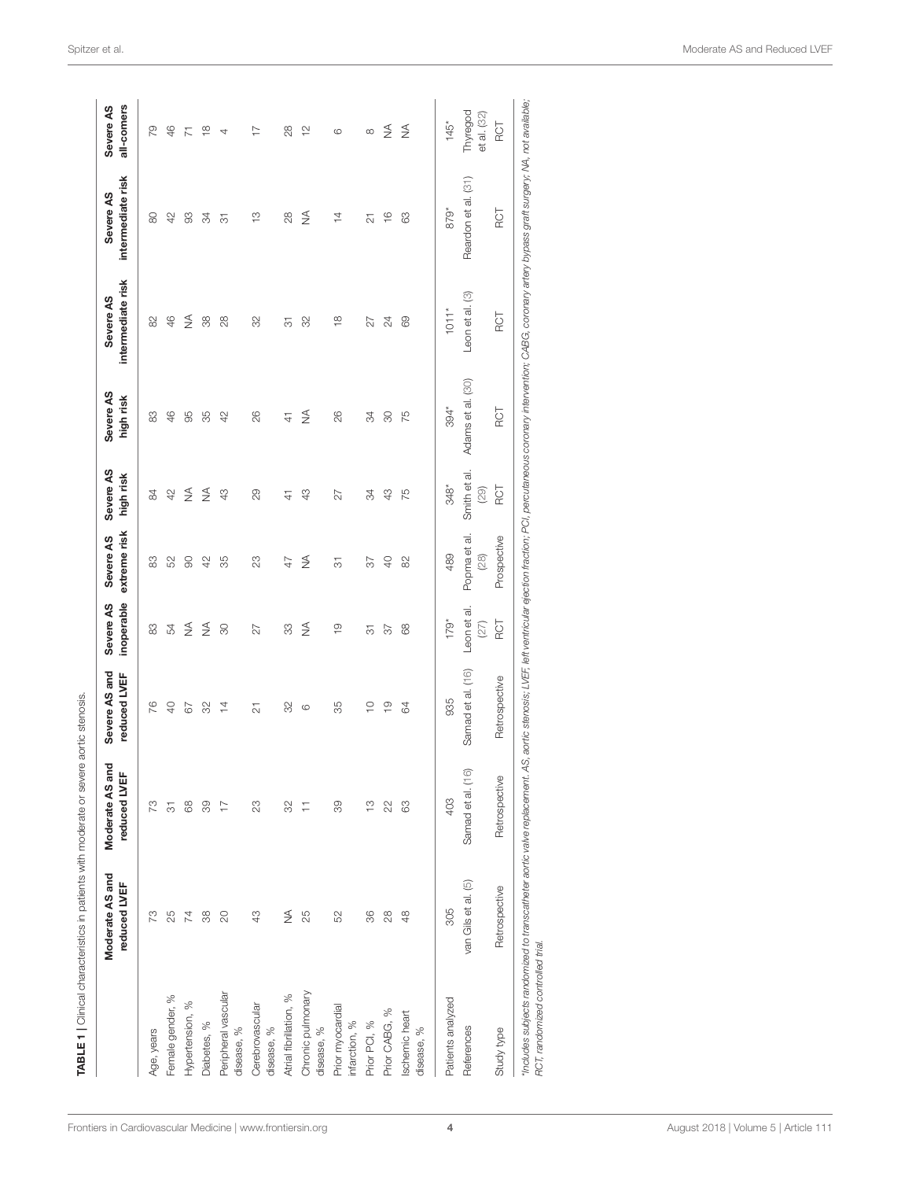|                                   | Moderate AS and<br>reduced LVEF | g<br>reduced LVEF<br>Moderate AS a | Severe AS and<br>reduced LVEF | inoperable<br>Severe AS | extreme risk<br>Severe AS | Severe AS<br>high risk | Severe AS<br>high risk | intermediate risk<br>Severe AS | intermediate risk<br>Severe AS | all-comers<br>Severe AS |
|-----------------------------------|---------------------------------|------------------------------------|-------------------------------|-------------------------|---------------------------|------------------------|------------------------|--------------------------------|--------------------------------|-------------------------|
| Age, years                        | 73                              | SZ.                                | 76                            | 83                      | 83                        | 84                     | 83                     | 82                             | 8                              | లై                      |
| Female gender, %                  | 25                              | 7                                  | $\overline{0}$                | 54                      | 52                        | 42                     | 46                     | 46                             | $\varphi$                      | $\frac{4}{5}$           |
| Hypertension, %                   | 74                              | 88                                 | 67                            | ₹                       | $\infty$                  | $\frac{1}{2}$          | 95                     | ₹                              | S                              | 下                       |
| Diabetes, %                       | 88                              | 89                                 | 82                            | ₹                       | 42                        | ₹                      | န္က                    | 38                             | 34                             | $\frac{\infty}{\infty}$ |
| Peripheral vascular<br>disease, % | $\overline{c}$                  | $\overline{1}$                     | $\overline{4}$                | 80                      | 35                        | 43                     | $\varphi$              | $^{8}$                         | 75                             | 4                       |
| Cerebrovascular<br>disease, %     | 43                              | 23                                 | $\overline{\mathbf{c}}$       | 27                      | 23                        | 29                     | 26                     | 32                             | $\frac{1}{1}$                  | $\overline{1}$          |
| Atrial fibrillation, %            | ≸                               | 32                                 | 32                            | 33                      | $\overline{4}$            | $\frac{4}{3}$          | $\frac{4}{7}$          | 5                              | 28                             | 28                      |
| Chronic pulmonary<br>disease, %   | 25                              | Ξ                                  | $\circ$                       | ₹                       | ₹                         | 43                     | ₹                      | 32                             | ₹                              | $\approx$               |
| Prior myocardial<br>infarction, % | 52                              | 89                                 | 35                            | $\frac{0}{1}$           | 75                        | 27                     | 26                     | $\frac{8}{1}$                  | 14                             | G                       |
| Prior PCI, %                      | 86                              | $\frac{1}{2}$                      | $\supseteq$                   | 75                      | 55                        | 34                     | 35                     | 27                             | 5                              |                         |
| Prior CABG, %                     | $^{28}$                         | $\approx$                          | $\frac{0}{1}$                 | $\overline{3}$          | $\Theta$                  | 43                     | $\infty$               | 24                             | $\frac{6}{1}$                  | $\lessgtr$              |
| Ischemic heart<br>disease, %      | $\frac{8}{4}$                   | 8                                  | 64                            | 88                      | 82                        | 75                     | 75                     | 69                             | 8                              | $\frac{1}{2}$           |
| Patients analyzed                 | 305                             | 403                                | 935                           | $179*$                  | 489                       | $348*$                 | 394*                   | $101*$                         | 879*                           | $145*$                  |
| References                        | van Gils et al. (5)             | Samad et al. (16)                  | Samad et al. (16)             | Leon et al.<br>(27)     | Popma et al<br>(28)       | Smith et al.<br>(53)   | Adams et al. (30)      | Leon et al. (3)                | Reardon et al. (31)            | Thyregod<br>et al. (32) |
| Study type                        | Retrospective                   | Retrospective                      | Retrospective                 | <b>ROT</b>              | Prospective               | <b>ROT</b>             | <b>ROT</b>             | <b>ROT</b>                     | <b>ROT</b>                     | ROT                     |

<span id="page-3-0"></span>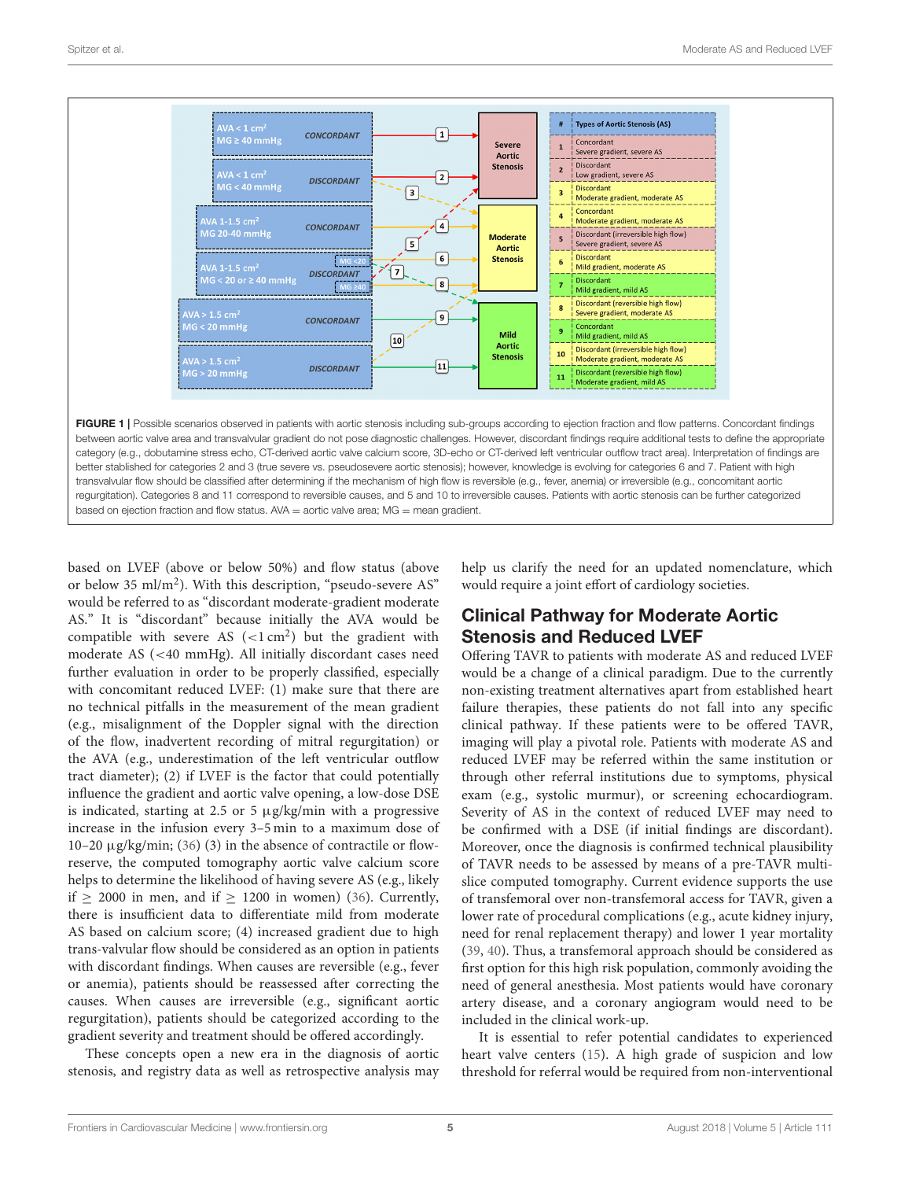

<span id="page-4-0"></span>based on LVEF (above or below 50%) and flow status (above or below 35 ml/m<sup>2</sup>). With this description, "pseudo-severe AS" would be referred to as "discordant moderate-gradient moderate AS." It is "discordant" because initially the AVA would be compatible with severe AS  $(<1 \text{ cm}^2)$  but the gradient with moderate AS (<40 mmHg). All initially discordant cases need further evaluation in order to be properly classified, especially with concomitant reduced LVEF: (1) make sure that there are no technical pitfalls in the measurement of the mean gradient (e.g., misalignment of the Doppler signal with the direction of the flow, inadvertent recording of mitral regurgitation) or the AVA (e.g., underestimation of the left ventricular outflow tract diameter); (2) if LVEF is the factor that could potentially influence the gradient and aortic valve opening, a low-dose DSE is indicated, starting at 2.5 or 5  $\mu$ g/kg/min with a progressive increase in the infusion every 3–5 min to a maximum dose of 10–20  $\mu$ g/kg/min; [\(36\)](#page-6-16) (3) in the absence of contractile or flowreserve, the computed tomography aortic valve calcium score helps to determine the likelihood of having severe AS (e.g., likely if  $> 2000$  in men, and if  $> 1200$  in women) [\(36\)](#page-6-16). Currently, there is insufficient data to differentiate mild from moderate AS based on calcium score; (4) increased gradient due to high trans-valvular flow should be considered as an option in patients with discordant findings. When causes are reversible (e.g., fever or anemia), patients should be reassessed after correcting the causes. When causes are irreversible (e.g., significant aortic regurgitation), patients should be categorized according to the gradient severity and treatment should be offered accordingly.

These concepts open a new era in the diagnosis of aortic stenosis, and registry data as well as retrospective analysis may help us clarify the need for an updated nomenclature, which would require a joint effort of cardiology societies.

## Clinical Pathway for Moderate Aortic Stenosis and Reduced LVEF

Offering TAVR to patients with moderate AS and reduced LVEF would be a change of a clinical paradigm. Due to the currently non-existing treatment alternatives apart from established heart failure therapies, these patients do not fall into any specific clinical pathway. If these patients were to be offered TAVR, imaging will play a pivotal role. Patients with moderate AS and reduced LVEF may be referred within the same institution or through other referral institutions due to symptoms, physical exam (e.g., systolic murmur), or screening echocardiogram. Severity of AS in the context of reduced LVEF may need to be confirmed with a DSE (if initial findings are discordant). Moreover, once the diagnosis is confirmed technical plausibility of TAVR needs to be assessed by means of a pre-TAVR multislice computed tomography. Current evidence supports the use of transfemoral over non-transfemoral access for TAVR, given a lower rate of procedural complications (e.g., acute kidney injury, need for renal replacement therapy) and lower 1 year mortality [\(39,](#page-6-22) [40\)](#page-6-23). Thus, a transfemoral approach should be considered as first option for this high risk population, commonly avoiding the need of general anesthesia. Most patients would have coronary artery disease, and a coronary angiogram would need to be included in the clinical work-up.

It is essential to refer potential candidates to experienced heart valve centers [\(15\)](#page-6-0). A high grade of suspicion and low threshold for referral would be required from non-interventional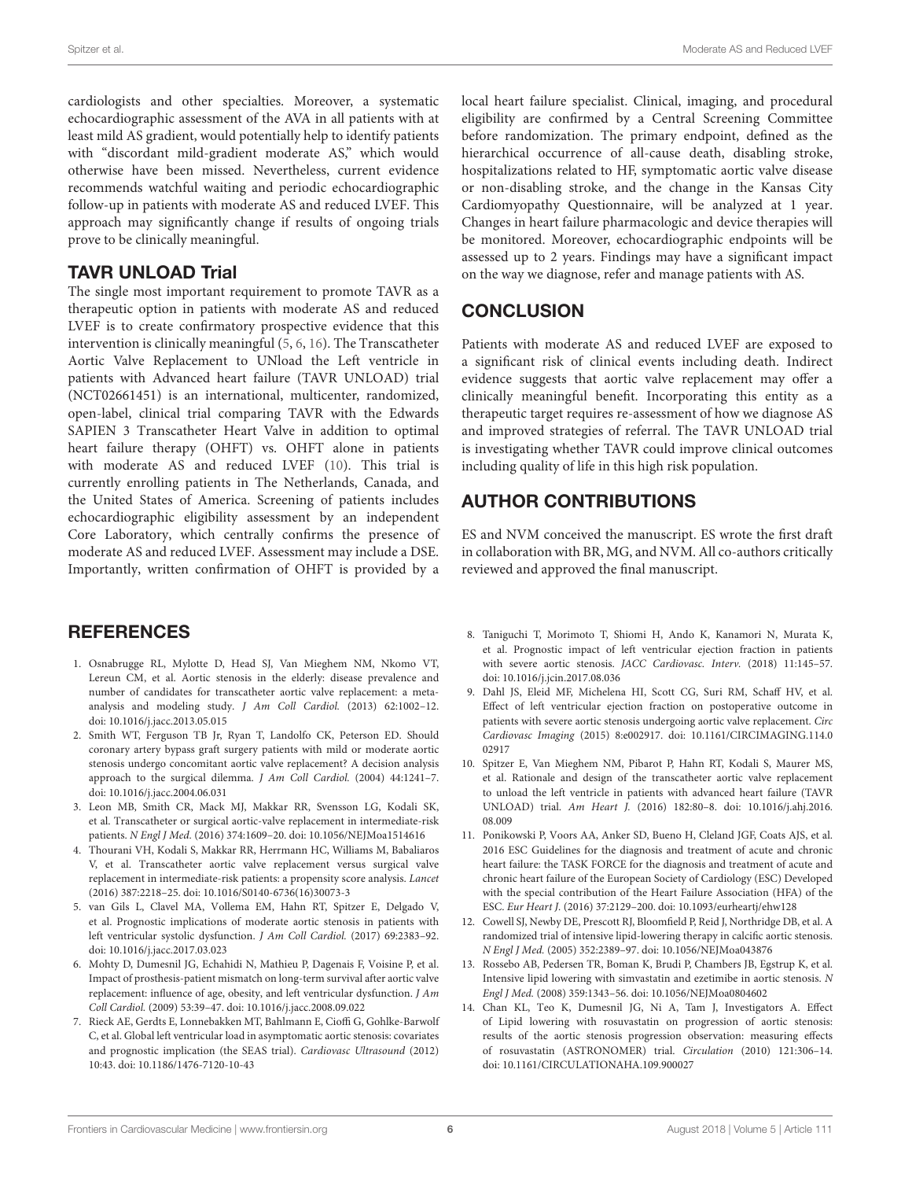cardiologists and other specialties. Moreover, a systematic echocardiographic assessment of the AVA in all patients with at least mild AS gradient, would potentially help to identify patients with "discordant mild-gradient moderate AS," which would otherwise have been missed. Nevertheless, current evidence recommends watchful waiting and periodic echocardiographic follow-up in patients with moderate AS and reduced LVEF. This approach may significantly change if results of ongoing trials prove to be clinically meaningful.

#### TAVR UNLOAD Trial

The single most important requirement to promote TAVR as a therapeutic option in patients with moderate AS and reduced LVEF is to create confirmatory prospective evidence that this intervention is clinically meaningful [\(5,](#page-5-3) [6,](#page-5-4) [16\)](#page-6-1). The Transcatheter Aortic Valve Replacement to UNload the Left ventricle in patients with Advanced heart failure (TAVR UNLOAD) trial (NCT02661451) is an international, multicenter, randomized, open-label, clinical trial comparing TAVR with the Edwards SAPIEN 3 Transcatheter Heart Valve in addition to optimal heart failure therapy (OHFT) vs. OHFT alone in patients with moderate AS and reduced LVEF [\(10\)](#page-5-8). This trial is currently enrolling patients in The Netherlands, Canada, and the United States of America. Screening of patients includes echocardiographic eligibility assessment by an independent Core Laboratory, which centrally confirms the presence of moderate AS and reduced LVEF. Assessment may include a DSE. Importantly, written confirmation of OHFT is provided by a

## **REFERENCES**

- <span id="page-5-0"></span>1. Osnabrugge RL, Mylotte D, Head SJ, Van Mieghem NM, Nkomo VT, Lereun CM, et al. Aortic stenosis in the elderly: disease prevalence and number of candidates for transcatheter aortic valve replacement: a metaanalysis and modeling study. J Am Coll Cardiol. (2013) 62:1002–12. doi: [10.1016/j.jacc.2013.05.015](https://doi.org/10.1016/j.jacc.2013.05.015)
- <span id="page-5-1"></span>2. Smith WT, Ferguson TB Jr, Ryan T, Landolfo CK, Peterson ED. Should coronary artery bypass graft surgery patients with mild or moderate aortic stenosis undergo concomitant aortic valve replacement? A decision analysis approach to the surgical dilemma. J Am Coll Cardiol. (2004) 44:1241-7. doi: [10.1016/j.jacc.2004.06.031](https://doi.org/10.1016/j.jacc.2004.06.031)
- <span id="page-5-2"></span>3. Leon MB, Smith CR, Mack MJ, Makkar RR, Svensson LG, Kodali SK, et al. Transcatheter or surgical aortic-valve replacement in intermediate-risk patients. N Engl J Med. (2016) 374:1609–20. doi: [10.1056/NEJMoa1514616](https://doi.org/10.1056/NEJMoa1514616)
- 4. Thourani VH, Kodali S, Makkar RR, Herrmann HC, Williams M, Babaliaros V, et al. Transcatheter aortic valve replacement versus surgical valve replacement in intermediate-risk patients: a propensity score analysis. Lancet (2016) 387:2218–25. doi: [10.1016/S0140-6736\(16\)30073-3](https://doi.org/10.1016/S0140-6736(16)30073-3)
- <span id="page-5-3"></span>5. van Gils L, Clavel MA, Vollema EM, Hahn RT, Spitzer E, Delgado V, et al. Prognostic implications of moderate aortic stenosis in patients with left ventricular systolic dysfunction. J Am Coll Cardiol. (2017) 69:2383–92. doi: [10.1016/j.jacc.2017.03.023](https://doi.org/10.1016/j.jacc.2017.03.023)
- <span id="page-5-4"></span>6. Mohty D, Dumesnil JG, Echahidi N, Mathieu P, Dagenais F, Voisine P, et al. Impact of prosthesis-patient mismatch on long-term survival after aortic valve replacement: influence of age, obesity, and left ventricular dysfunction. J Am Coll Cardiol. (2009) 53:39–47. doi: [10.1016/j.jacc.2008.09.022](https://doi.org/10.1016/j.jacc.2008.09.022)
- <span id="page-5-5"></span>7. Rieck AE, Gerdts E, Lonnebakken MT, Bahlmann E, Cioffi G, Gohlke-Barwolf C, et al. Global left ventricular load in asymptomatic aortic stenosis: covariates and prognostic implication (the SEAS trial). Cardiovasc Ultrasound (2012) 10:43. doi: [10.1186/1476-7120-10-43](https://doi.org/10.1186/1476-7120-10-43)

local heart failure specialist. Clinical, imaging, and procedural eligibility are confirmed by a Central Screening Committee before randomization. The primary endpoint, defined as the hierarchical occurrence of all-cause death, disabling stroke, hospitalizations related to HF, symptomatic aortic valve disease or non-disabling stroke, and the change in the Kansas City Cardiomyopathy Questionnaire, will be analyzed at 1 year. Changes in heart failure pharmacologic and device therapies will be monitored. Moreover, echocardiographic endpoints will be assessed up to 2 years. Findings may have a significant impact on the way we diagnose, refer and manage patients with AS.

## **CONCLUSION**

Patients with moderate AS and reduced LVEF are exposed to a significant risk of clinical events including death. Indirect evidence suggests that aortic valve replacement may offer a clinically meaningful benefit. Incorporating this entity as a therapeutic target requires re-assessment of how we diagnose AS and improved strategies of referral. The TAVR UNLOAD trial is investigating whether TAVR could improve clinical outcomes including quality of life in this high risk population.

## AUTHOR CONTRIBUTIONS

ES and NVM conceived the manuscript. ES wrote the first draft in collaboration with BR, MG, and NVM. All co-authors critically reviewed and approved the final manuscript.

- <span id="page-5-6"></span>8. Taniguchi T, Morimoto T, Shiomi H, Ando K, Kanamori N, Murata K, et al. Prognostic impact of left ventricular ejection fraction in patients with severe aortic stenosis. JACC Cardiovasc. Interv. (2018) 11:145–57. doi: [10.1016/j.jcin.2017.08.036](https://doi.org/10.1016/j.jcin.2017.08.036)
- <span id="page-5-7"></span>9. Dahl JS, Eleid MF, Michelena HI, Scott CG, Suri RM, Schaff HV, et al. Effect of left ventricular ejection fraction on postoperative outcome in patients with severe aortic stenosis undergoing aortic valve replacement. Circ Cardiovasc Imaging [\(2015\) 8:e002917. doi: 10.1161/CIRCIMAGING.114.0](https://doi.org/10.1161/CIRCIMAGING.114.002917) 02917
- <span id="page-5-8"></span>10. Spitzer E, Van Mieghem NM, Pibarot P, Hahn RT, Kodali S, Maurer MS, et al. Rationale and design of the transcatheter aortic valve replacement to unload the left ventricle in patients with advanced heart failure (TAVR UNLOAD) trial. Am Heart J. [\(2016\) 182:80–8. doi: 10.1016/j.ahj.2016.](https://doi.org/10.1016/j.ahj.2016.08.009) 08.009
- <span id="page-5-9"></span>11. Ponikowski P, Voors AA, Anker SD, Bueno H, Cleland JGF, Coats AJS, et al. 2016 ESC Guidelines for the diagnosis and treatment of acute and chronic heart failure: the TASK FORCE for the diagnosis and treatment of acute and chronic heart failure of the European Society of Cardiology (ESC) Developed with the special contribution of the Heart Failure Association (HFA) of the ESC. Eur Heart J. (2016) 37:2129–200. doi: [10.1093/eurheartj/ehw128](https://doi.org/10.1093/eurheartj/ehw128)
- <span id="page-5-10"></span>12. Cowell SJ, Newby DE, Prescott RJ, Bloomfield P, Reid J, Northridge DB, et al. A randomized trial of intensive lipid-lowering therapy in calcific aortic stenosis. N Engl J Med. (2005) 352:2389–97. doi: [10.1056/NEJMoa043876](https://doi.org/10.1056/NEJMoa043876)
- <span id="page-5-12"></span>13. Rossebo AB, Pedersen TR, Boman K, Brudi P, Chambers JB, Egstrup K, et al. Intensive lipid lowering with simvastatin and ezetimibe in aortic stenosis. N Engl J Med. (2008) 359:1343–56. doi: [10.1056/NEJMoa0804602](https://doi.org/10.1056/NEJMoa0804602)
- <span id="page-5-11"></span>14. Chan KL, Teo K, Dumesnil JG, Ni A, Tam J, Investigators A. Effect of Lipid lowering with rosuvastatin on progression of aortic stenosis: results of the aortic stenosis progression observation: measuring effects of rosuvastatin (ASTRONOMER) trial. Circulation (2010) 121:306–14. doi: [10.1161/CIRCULATIONAHA.109.900027](https://doi.org/10.1161/CIRCULATIONAHA.109.900027)